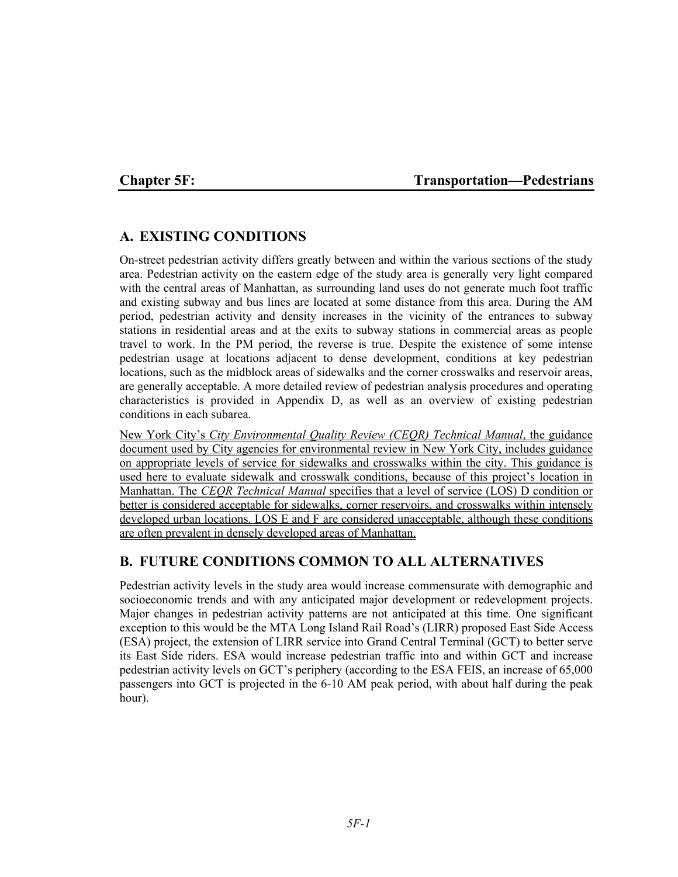## Chapter 5F: Transportation—Pedestrians

# **A. EXISTING CONDITIONS**

On-street pedestrian activity differs greatly between and within the various sections of the study area. Pedestrian activity on the eastern edge of the study area is generally very light compared with the central areas of Manhattan, as surrounding land uses do not generate much foot traffic and existing subway and bus lines are located at some distance from this area. During the AM period, pedestrian activity and density increases in the vicinity of the entrances to subway stations in residential areas and at the exits to subway stations in commercial areas as people travel to work. In the PM period, the reverse is true. Despite the existence of some intense pedestrian usage at locations adjacent to dense development, conditions at key pedestrian locations, such as the midblock areas of sidewalks and the corner crosswalks and reservoir areas, are generally acceptable. A more detailed review of pedestrian analysis procedures and operating characteristics is provided in Appendix D, as well as an overview of existing pedestrian conditions in each subarea.

New York City's *City Environmental Quality Review (CEQR) Technical Manual*, the guidance document used by City agencies for environmental review in New York City, includes guidance on appropriate levels of service for sidewalks and crosswalks within the city. This guidance is used here to evaluate sidewalk and crosswalk conditions, because of this project's location in Manhattan. The *CEQR Technical Manual* specifies that a level of service (LOS) D condition or better is considered acceptable for sidewalks, corner reservoirs, and crosswalks within intensely developed urban locations. LOS E and F are considered unacceptable, although these conditions are often prevalent in densely developed areas of Manhattan.

# **B. FUTURE CONDITIONS COMMON TO ALL ALTERNATIVES**

Pedestrian activity levels in the study area would increase commensurate with demographic and socioeconomic trends and with any anticipated major development or redevelopment projects. Major changes in pedestrian activity patterns are not anticipated at this time. One significant exception to this would be the MTA Long Island Rail Road's (LIRR) proposed East Side Access (ESA) project, the extension of LIRR service into Grand Central Terminal (GCT) to better serve its East Side riders. ESA would increase pedestrian traffic into and within GCT and increase pedestrian activity levels on GCT's periphery (according to the ESA FEIS, an increase of 65,000 passengers into GCT is projected in the 6-10 AM peak period, with about half during the peak hour).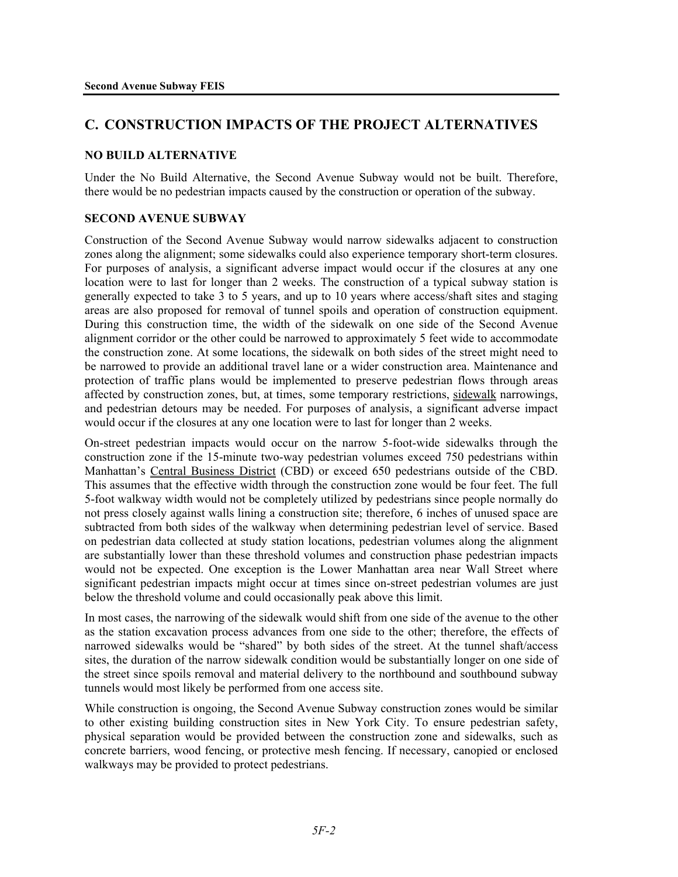# **C. CONSTRUCTION IMPACTS OF THE PROJECT ALTERNATIVES**

## **NO BUILD ALTERNATIVE**

Under the No Build Alternative, the Second Avenue Subway would not be built. Therefore, there would be no pedestrian impacts caused by the construction or operation of the subway.

#### **SECOND AVENUE SUBWAY**

Construction of the Second Avenue Subway would narrow sidewalks adjacent to construction zones along the alignment; some sidewalks could also experience temporary short-term closures. For purposes of analysis, a significant adverse impact would occur if the closures at any one location were to last for longer than 2 weeks. The construction of a typical subway station is generally expected to take 3 to 5 years, and up to 10 years where access/shaft sites and staging areas are also proposed for removal of tunnel spoils and operation of construction equipment. During this construction time, the width of the sidewalk on one side of the Second Avenue alignment corridor or the other could be narrowed to approximately 5 feet wide to accommodate the construction zone. At some locations, the sidewalk on both sides of the street might need to be narrowed to provide an additional travel lane or a wider construction area. Maintenance and protection of traffic plans would be implemented to preserve pedestrian flows through areas affected by construction zones, but, at times, some temporary restrictions, sidewalk narrowings, and pedestrian detours may be needed. For purposes of analysis, a significant adverse impact would occur if the closures at any one location were to last for longer than 2 weeks.

On-street pedestrian impacts would occur on the narrow 5-foot-wide sidewalks through the construction zone if the 15-minute two-way pedestrian volumes exceed 750 pedestrians within Manhattan's Central Business District (CBD) or exceed 650 pedestrians outside of the CBD. This assumes that the effective width through the construction zone would be four feet. The full 5-foot walkway width would not be completely utilized by pedestrians since people normally do not press closely against walls lining a construction site; therefore, 6 inches of unused space are subtracted from both sides of the walkway when determining pedestrian level of service. Based on pedestrian data collected at study station locations, pedestrian volumes along the alignment are substantially lower than these threshold volumes and construction phase pedestrian impacts would not be expected. One exception is the Lower Manhattan area near Wall Street where significant pedestrian impacts might occur at times since on-street pedestrian volumes are just below the threshold volume and could occasionally peak above this limit.

In most cases, the narrowing of the sidewalk would shift from one side of the avenue to the other as the station excavation process advances from one side to the other; therefore, the effects of narrowed sidewalks would be "shared" by both sides of the street. At the tunnel shaft/access sites, the duration of the narrow sidewalk condition would be substantially longer on one side of the street since spoils removal and material delivery to the northbound and southbound subway tunnels would most likely be performed from one access site.

While construction is ongoing, the Second Avenue Subway construction zones would be similar to other existing building construction sites in New York City. To ensure pedestrian safety, physical separation would be provided between the construction zone and sidewalks, such as concrete barriers, wood fencing, or protective mesh fencing. If necessary, canopied or enclosed walkways may be provided to protect pedestrians.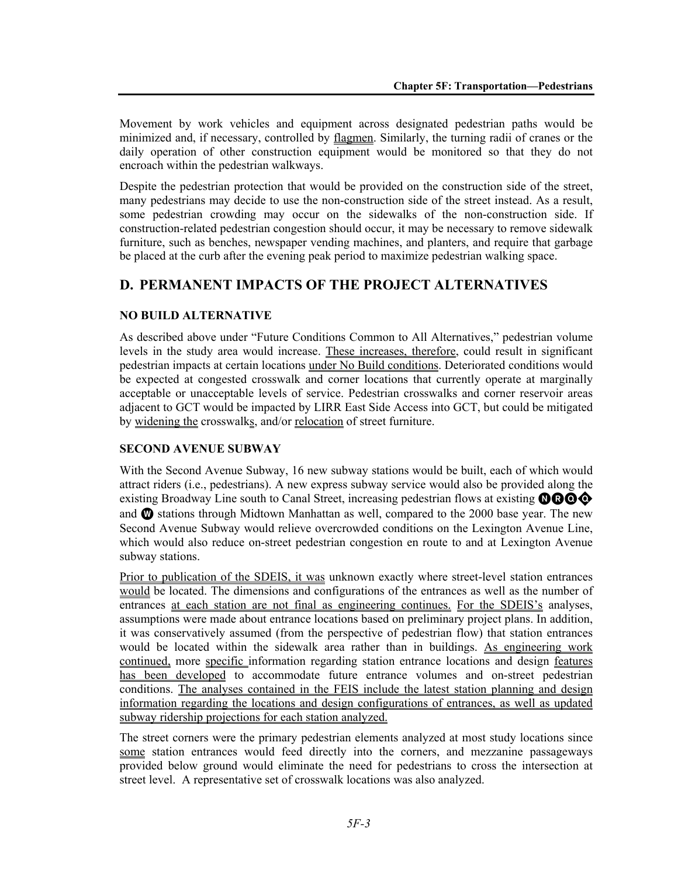Movement by work vehicles and equipment across designated pedestrian paths would be minimized and, if necessary, controlled by flagmen. Similarly, the turning radii of cranes or the daily operation of other construction equipment would be monitored so that they do not encroach within the pedestrian walkways.

Despite the pedestrian protection that would be provided on the construction side of the street, many pedestrians may decide to use the non-construction side of the street instead. As a result, some pedestrian crowding may occur on the sidewalks of the non-construction side. If construction-related pedestrian congestion should occur, it may be necessary to remove sidewalk furniture, such as benches, newspaper vending machines, and planters, and require that garbage be placed at the curb after the evening peak period to maximize pedestrian walking space.

# **D. PERMANENT IMPACTS OF THE PROJECT ALTERNATIVES**

## **NO BUILD ALTERNATIVE**

As described above under "Future Conditions Common to All Alternatives," pedestrian volume levels in the study area would increase. These increases, therefore, could result in significant pedestrian impacts at certain locations under No Build conditions. Deteriorated conditions would be expected at congested crosswalk and corner locations that currently operate at marginally acceptable or unacceptable levels of service. Pedestrian crosswalks and corner reservoir areas adjacent to GCT would be impacted by LIRR East Side Access into GCT, but could be mitigated by widening the crosswalks, and/or relocation of street furniture.

## **SECOND AVENUE SUBWAY**

With the Second Avenue Subway, 16 new subway stations would be built, each of which would attract riders (i.e., pedestrians). A new express subway service would also be provided along the existing Broadway Line south to Canal Street, increasing pedestrian flows at existing  $\mathbf{0} \mathbf{0} \mathbf{0} \mathbf{0}$ and  $\Phi$  stations through Midtown Manhattan as well, compared to the 2000 base year. The new Second Avenue Subway would relieve overcrowded conditions on the Lexington Avenue Line, which would also reduce on-street pedestrian congestion en route to and at Lexington Avenue subway stations.

Prior to publication of the SDEIS, it was unknown exactly where street-level station entrances would be located. The dimensions and configurations of the entrances as well as the number of entrances at each station are not final as engineering continues. For the SDEIS's analyses, assumptions were made about entrance locations based on preliminary project plans. In addition, it was conservatively assumed (from the perspective of pedestrian flow) that station entrances would be located within the sidewalk area rather than in buildings. As engineering work continued, more specific information regarding station entrance locations and design features has been developed to accommodate future entrance volumes and on-street pedestrian conditions. The analyses contained in the FEIS include the latest station planning and design information regarding the locations and design configurations of entrances, as well as updated subway ridership projections for each station analyzed.

The street corners were the primary pedestrian elements analyzed at most study locations since some station entrances would feed directly into the corners, and mezzanine passageways provided below ground would eliminate the need for pedestrians to cross the intersection at street level. A representative set of crosswalk locations was also analyzed.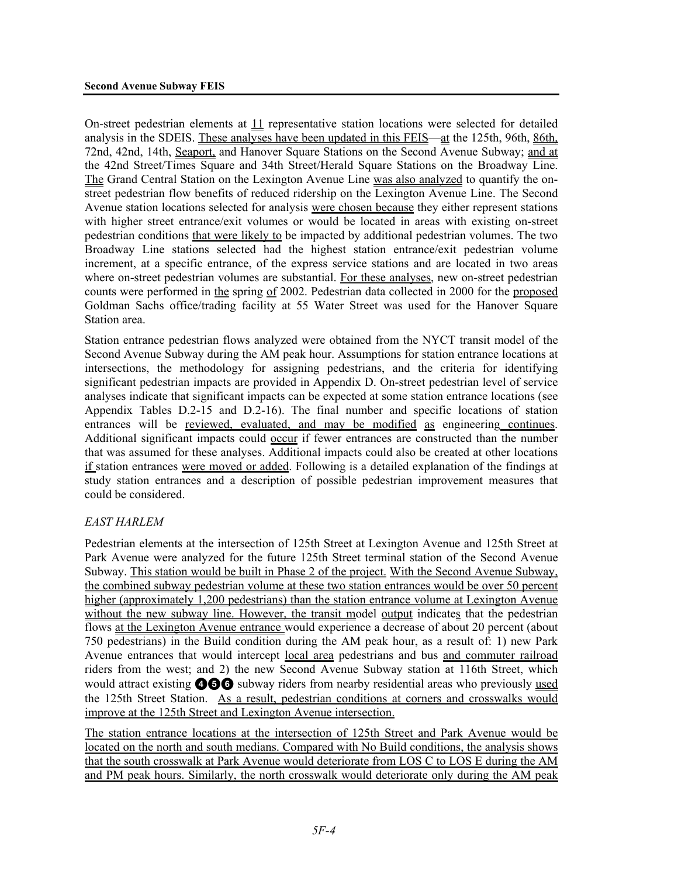On-street pedestrian elements at 11 representative station locations were selected for detailed analysis in the SDEIS. These analyses have been updated in this FEIS—at the 125th, 96th, 86th, 72nd, 42nd, 14th, Seaport, and Hanover Square Stations on the Second Avenue Subway; and at the 42nd Street/Times Square and 34th Street/Herald Square Stations on the Broadway Line. The Grand Central Station on the Lexington Avenue Line was also analyzed to quantify the onstreet pedestrian flow benefits of reduced ridership on the Lexington Avenue Line. The Second Avenue station locations selected for analysis were chosen because they either represent stations with higher street entrance/exit volumes or would be located in areas with existing on-street pedestrian conditions that were likely to be impacted by additional pedestrian volumes. The two Broadway Line stations selected had the highest station entrance/exit pedestrian volume increment, at a specific entrance, of the express service stations and are located in two areas where on-street pedestrian volumes are substantial. For these analyses, new on-street pedestrian counts were performed in the spring of 2002. Pedestrian data collected in 2000 for the proposed Goldman Sachs office/trading facility at 55 Water Street was used for the Hanover Square Station area.

Station entrance pedestrian flows analyzed were obtained from the NYCT transit model of the Second Avenue Subway during the AM peak hour. Assumptions for station entrance locations at intersections, the methodology for assigning pedestrians, and the criteria for identifying significant pedestrian impacts are provided in Appendix D. On-street pedestrian level of service analyses indicate that significant impacts can be expected at some station entrance locations (see Appendix Tables D.2-15 and D.2-16). The final number and specific locations of station entrances will be reviewed, evaluated, and may be modified as engineering continues. Additional significant impacts could occur if fewer entrances are constructed than the number that was assumed for these analyses. Additional impacts could also be created at other locations if station entrances were moved or added. Following is a detailed explanation of the findings at study station entrances and a description of possible pedestrian improvement measures that could be considered.

## *EAST HARLEM*

Pedestrian elements at the intersection of 125th Street at Lexington Avenue and 125th Street at Park Avenue were analyzed for the future 125th Street terminal station of the Second Avenue Subway. This station would be built in Phase 2 of the project. With the Second Avenue Subway, the combined subway pedestrian volume at these two station entrances would be over 50 percent higher (approximately 1,200 pedestrians) than the station entrance volume at Lexington Avenue without the new subway line. However, the transit model output indicates that the pedestrian flows at the Lexington Avenue entrance would experience a decrease of about 20 percent (about 750 pedestrians) in the Build condition during the AM peak hour, as a result of: 1) new Park Avenue entrances that would intercept local area pedestrians and bus and commuter railroad riders from the west; and 2) the new Second Avenue Subway station at 116th Street, which would attract existing **456** subway riders from nearby residential areas who previously used the 125th Street Station. As a result, pedestrian conditions at corners and crosswalks would improve at the 125th Street and Lexington Avenue intersection.

The station entrance locations at the intersection of 125th Street and Park Avenue would be located on the north and south medians. Compared with No Build conditions, the analysis shows that the south crosswalk at Park Avenue would deteriorate from LOS C to LOS E during the AM and PM peak hours. Similarly, the north crosswalk would deteriorate only during the AM peak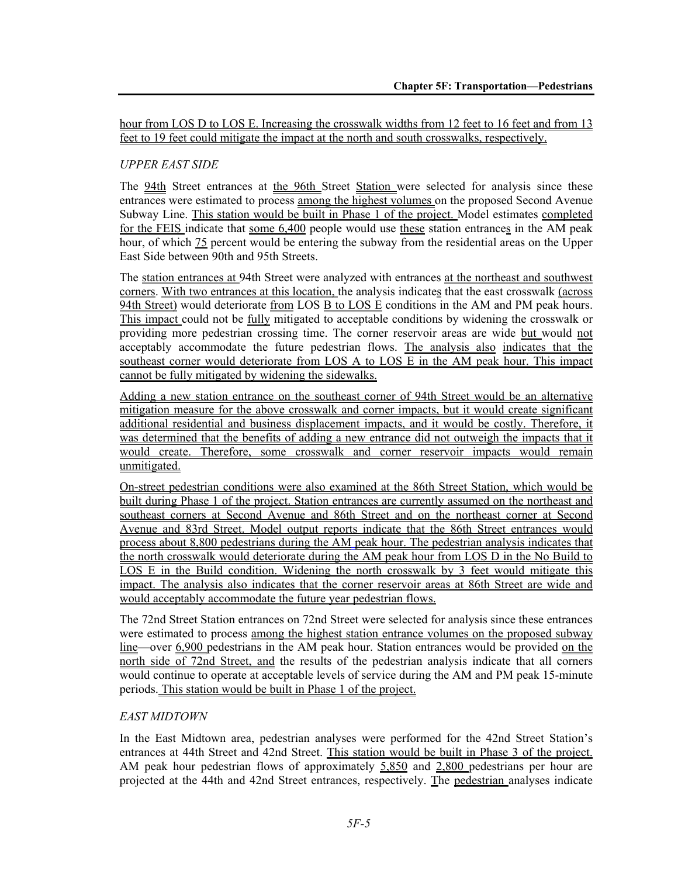hour from LOS D to LOS E. Increasing the crosswalk widths from 12 feet to 16 feet and from 13 feet to 19 feet could mitigate the impact at the north and south crosswalks, respectively.

## *UPPER EAST SIDE*

The 94th Street entrances at the 96th Street Station were selected for analysis since these entrances were estimated to process among the highest volumes on the proposed Second Avenue Subway Line. This station would be built in Phase 1 of the project. Model estimates completed for the FEIS indicate that some 6,400 people would use these station entrances in the AM peak hour, of which 75 percent would be entering the subway from the residential areas on the Upper East Side between 90th and 95th Streets.

The station entrances at 94th Street were analyzed with entrances at the northeast and southwest corners. With two entrances at this location, the analysis indicates that the east crosswalk (across 94th Street) would deteriorate from LOS B to LOS E conditions in the AM and PM peak hours. This impact could not be fully mitigated to acceptable conditions by widening the crosswalk or providing more pedestrian crossing time. The corner reservoir areas are wide but would not acceptably accommodate the future pedestrian flows. The analysis also indicates that the southeast corner would deteriorate from LOS A to LOS E in the AM peak hour. This impact cannot be fully mitigated by widening the sidewalks.

Adding a new station entrance on the southeast corner of 94th Street would be an alternative mitigation measure for the above crosswalk and corner impacts, but it would create significant additional residential and business displacement impacts, and it would be costly. Therefore, it was determined that the benefits of adding a new entrance did not outweigh the impacts that it would create. Therefore, some crosswalk and corner reservoir impacts would remain unmitigated.

On-street pedestrian conditions were also examined at the 86th Street Station, which would be built during Phase 1 of the project. Station entrances are currently assumed on the northeast and southeast corners at Second Avenue and 86th Street and on the northeast corner at Second Avenue and 83rd Street. Model output reports indicate that the 86th Street entrances would process about 8,800 pedestrians during the AM peak hour. The pedestrian analysis indicates that the north crosswalk would deteriorate during the AM peak hour from LOS D in the No Build to LOS E in the Build condition. Widening the north crosswalk by 3 feet would mitigate this impact. The analysis also indicates that the corner reservoir areas at 86th Street are wide and would acceptably accommodate the future year pedestrian flows.

The 72nd Street Station entrances on 72nd Street were selected for analysis since these entrances were estimated to process among the highest station entrance volumes on the proposed subway line—over 6,900 pedestrians in the AM peak hour. Station entrances would be provided on the north side of 72nd Street, and the results of the pedestrian analysis indicate that all corners would continue to operate at acceptable levels of service during the AM and PM peak 15-minute periods. This station would be built in Phase 1 of the project.

## *EAST MIDTOWN*

In the East Midtown area, pedestrian analyses were performed for the 42nd Street Station's entrances at 44th Street and 42nd Street. This station would be built in Phase 3 of the project. AM peak hour pedestrian flows of approximately 5,850 and 2,800 pedestrians per hour are projected at the 44th and 42nd Street entrances, respectively. The pedestrian analyses indicate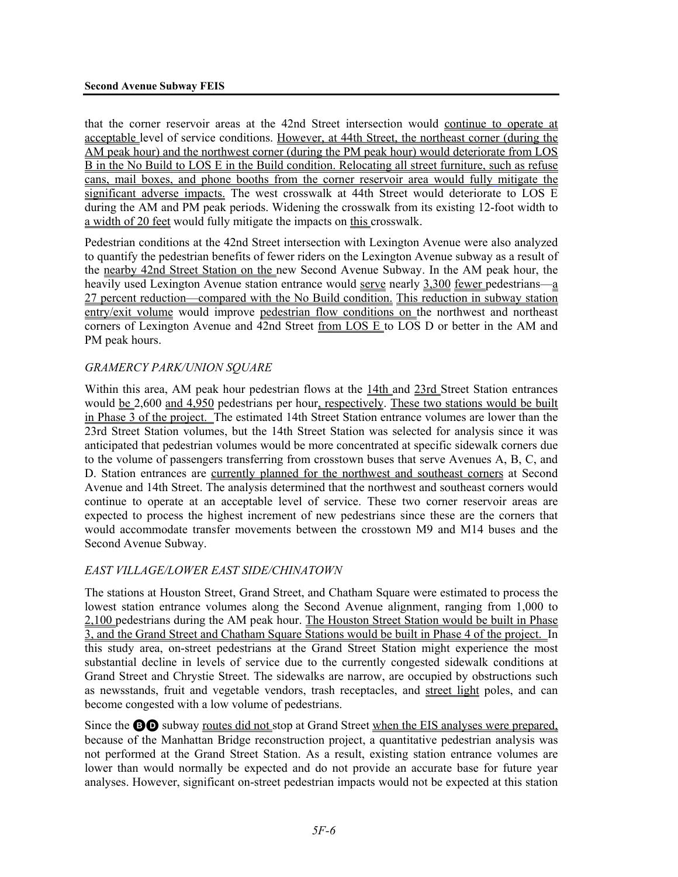that the corner reservoir areas at the 42nd Street intersection would continue to operate at acceptable level of service conditions. However, at 44th Street, the northeast corner (during the AM peak hour) and the northwest corner (during the PM peak hour) would deteriorate from LOS B in the No Build to LOS E in the Build condition. Relocating all street furniture, such as refuse cans, mail boxes, and phone booths from the corner reservoir area would fully mitigate the significant adverse impacts. The west crosswalk at 44th Street would deteriorate to LOS E during the AM and PM peak periods. Widening the crosswalk from its existing 12-foot width to a width of 20 feet would fully mitigate the impacts on this crosswalk.

Pedestrian conditions at the 42nd Street intersection with Lexington Avenue were also analyzed to quantify the pedestrian benefits of fewer riders on the Lexington Avenue subway as a result of the nearby 42nd Street Station on the new Second Avenue Subway. In the AM peak hour, the heavily used Lexington Avenue station entrance would serve nearly 3,300 fewer pedestrians—a 27 percent reduction—compared with the No Build condition. This reduction in subway station entry/exit volume would improve pedestrian flow conditions on the northwest and northeast corners of Lexington Avenue and 42nd Street from LOS E to LOS D or better in the AM and PM peak hours.

#### *GRAMERCY PARK/UNION SQUARE*

Within this area, AM peak hour pedestrian flows at the 14th and 23rd Street Station entrances would be 2,600 and 4,950 pedestrians per hour, respectively. These two stations would be built in Phase 3 of the project. The estimated 14th Street Station entrance volumes are lower than the 23rd Street Station volumes, but the 14th Street Station was selected for analysis since it was anticipated that pedestrian volumes would be more concentrated at specific sidewalk corners due to the volume of passengers transferring from crosstown buses that serve Avenues A, B, C, and D. Station entrances are currently planned for the northwest and southeast corners at Second Avenue and 14th Street. The analysis determined that the northwest and southeast corners would continue to operate at an acceptable level of service. These two corner reservoir areas are expected to process the highest increment of new pedestrians since these are the corners that would accommodate transfer movements between the crosstown M9 and M14 buses and the Second Avenue Subway.

## *EAST VILLAGE/LOWER EAST SIDE/CHINATOWN*

The stations at Houston Street, Grand Street, and Chatham Square were estimated to process the lowest station entrance volumes along the Second Avenue alignment, ranging from 1,000 to 2,100 pedestrians during the AM peak hour. The Houston Street Station would be built in Phase 3, and the Grand Street and Chatham Square Stations would be built in Phase 4 of the project. In this study area, on-street pedestrians at the Grand Street Station might experience the most substantial decline in levels of service due to the currently congested sidewalk conditions at Grand Street and Chrystie Street. The sidewalks are narrow, are occupied by obstructions such as newsstands, fruit and vegetable vendors, trash receptacles, and street light poles, and can become congested with a low volume of pedestrians.

Since the **BO** subway <u>routes did not</u> stop at Grand Street when the EIS analyses were prepared, because of the Manhattan Bridge reconstruction project, a quantitative pedestrian analysis was not performed at the Grand Street Station. As a result, existing station entrance volumes are lower than would normally be expected and do not provide an accurate base for future year analyses. However, significant on-street pedestrian impacts would not be expected at this station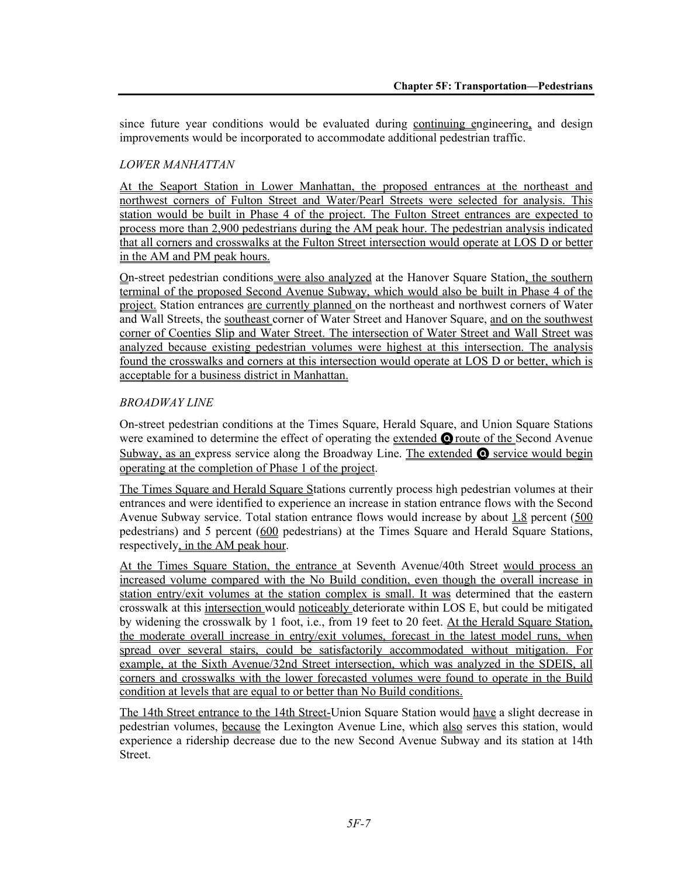since future year conditions would be evaluated during continuing engineering, and design improvements would be incorporated to accommodate additional pedestrian traffic.

## *LOWER MANHATTAN*

At the Seaport Station in Lower Manhattan, the proposed entrances at the northeast and northwest corners of Fulton Street and Water/Pearl Streets were selected for analysis. This station would be built in Phase 4 of the project. The Fulton Street entrances are expected to process more than 2,900 pedestrians during the AM peak hour. The pedestrian analysis indicated that all corners and crosswalks at the Fulton Street intersection would operate at LOS D or better in the AM and PM peak hours.

On-street pedestrian conditions were also analyzed at the Hanover Square Station, the southern terminal of the proposed Second Avenue Subway, which would also be built in Phase 4 of the project. Station entrances are currently planned on the northeast and northwest corners of Water and Wall Streets, the southeast corner of Water Street and Hanover Square, and on the southwest corner of Coenties Slip and Water Street. The intersection of Water Street and Wall Street was analyzed because existing pedestrian volumes were highest at this intersection. The analysis found the crosswalks and corners at this intersection would operate at LOS D or better, which is acceptable for a business district in Manhattan.

## *BROADWAY LINE*

On-street pedestrian conditions at the Times Square, Herald Square, and Union Square Stations were examined to determine the effect of operating the extended **O** route of the Second Avenue Subway, as an express service along the Broadway Line. The extended  $\bullet$  service would begin operating at the completion of Phase 1 of the project.

The Times Square and Herald Square Stations currently process high pedestrian volumes at their entrances and were identified to experience an increase in station entrance flows with the Second Avenue Subway service. Total station entrance flows would increase by about 1.8 percent (500 pedestrians) and 5 percent (600 pedestrians) at the Times Square and Herald Square Stations, respectively, in the AM peak hour.

At the Times Square Station, the entrance at Seventh Avenue/40th Street would process an increased volume compared with the No Build condition, even though the overall increase in station entry/exit volumes at the station complex is small. It was determined that the eastern crosswalk at this intersection would noticeably deteriorate within LOS E, but could be mitigated by widening the crosswalk by 1 foot, i.e., from 19 feet to 20 feet. At the Herald Square Station, the moderate overall increase in entry/exit volumes, forecast in the latest model runs, when spread over several stairs, could be satisfactorily accommodated without mitigation. For example, at the Sixth Avenue/32nd Street intersection, which was analyzed in the SDEIS, all corners and crosswalks with the lower forecasted volumes were found to operate in the Build condition at levels that are equal to or better than No Build conditions.

The 14th Street entrance to the 14th Street-Union Square Station would have a slight decrease in pedestrian volumes, because the Lexington Avenue Line, which also serves this station, would experience a ridership decrease due to the new Second Avenue Subway and its station at 14th Street.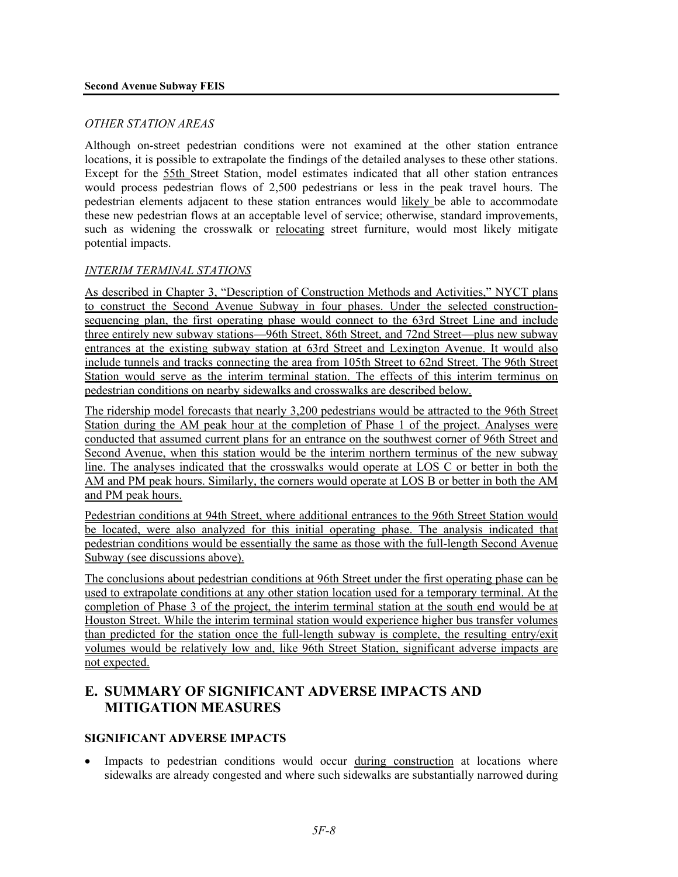#### *OTHER STATION AREAS*

Although on-street pedestrian conditions were not examined at the other station entrance locations, it is possible to extrapolate the findings of the detailed analyses to these other stations. Except for the 55th Street Station, model estimates indicated that all other station entrances would process pedestrian flows of 2,500 pedestrians or less in the peak travel hours. The pedestrian elements adjacent to these station entrances would likely be able to accommodate these new pedestrian flows at an acceptable level of service; otherwise, standard improvements, such as widening the crosswalk or relocating street furniture, would most likely mitigate potential impacts.

#### *INTERIM TERMINAL STATIONS*

As described in Chapter 3, "Description of Construction Methods and Activities," NYCT plans to construct the Second Avenue Subway in four phases. Under the selected constructionsequencing plan, the first operating phase would connect to the 63rd Street Line and include three entirely new subway stations—96th Street, 86th Street, and 72nd Street—plus new subway entrances at the existing subway station at 63rd Street and Lexington Avenue. It would also include tunnels and tracks connecting the area from 105th Street to 62nd Street. The 96th Street Station would serve as the interim terminal station. The effects of this interim terminus on pedestrian conditions on nearby sidewalks and crosswalks are described below.

The ridership model forecasts that nearly 3,200 pedestrians would be attracted to the 96th Street Station during the AM peak hour at the completion of Phase 1 of the project. Analyses were conducted that assumed current plans for an entrance on the southwest corner of 96th Street and Second Avenue, when this station would be the interim northern terminus of the new subway line. The analyses indicated that the crosswalks would operate at LOS C or better in both the AM and PM peak hours. Similarly, the corners would operate at LOS B or better in both the AM and PM peak hours.

Pedestrian conditions at 94th Street, where additional entrances to the 96th Street Station would be located, were also analyzed for this initial operating phase. The analysis indicated that pedestrian conditions would be essentially the same as those with the full-length Second Avenue Subway (see discussions above).

The conclusions about pedestrian conditions at 96th Street under the first operating phase can be used to extrapolate conditions at any other station location used for a temporary terminal. At the completion of Phase 3 of the project, the interim terminal station at the south end would be at Houston Street. While the interim terminal station would experience higher bus transfer volumes than predicted for the station once the full-length subway is complete, the resulting entry/exit volumes would be relatively low and, like 96th Street Station, significant adverse impacts are not expected.

# **E. SUMMARY OF SIGNIFICANT ADVERSE IMPACTS AND MITIGATION MEASURES**

#### **SIGNIFICANT ADVERSE IMPACTS**

Impacts to pedestrian conditions would occur during construction at locations where sidewalks are already congested and where such sidewalks are substantially narrowed during